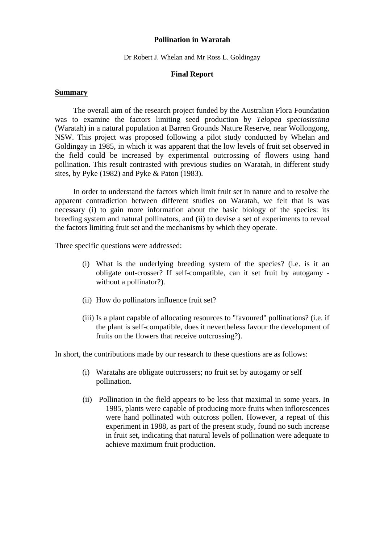### **Pollination in Waratah**

Dr Robert J. Whelan and Mr Ross L. Goldingay

## **Final Report**

#### **Summary**

The overall aim of the research project funded by the Australian Flora Foundation was to examine the factors limiting seed production by *Telopea speciosissima* (Waratah) in a natural population at Barren Grounds Nature Reserve, near Wollongong, NSW. This project was proposed following a pilot study conducted by Whelan and Goldingay in 1985, in which it was apparent that the low levels of fruit set observed in the field could be increased by experimental outcrossing of flowers using hand pollination. This result contrasted with previous studies on Waratah, in different study sites, by Pyke (1982) and Pyke & Paton (1983).

In order to understand the factors which limit fruit set in nature and to resolve the apparent contradiction between different studies on Waratah, we felt that is was necessary (i) to gain more information about the basic biology of the species: its breeding system and natural pollinators, and (ii) to devise a set of experiments to reveal the factors limiting fruit set and the mechanisms by which they operate.

Three specific questions were addressed:

- (i) What is the underlying breeding system of the species? (i.e. is it an obligate out-crosser? If self-compatible, can it set fruit by autogamy without a pollinator?).
- (ii) How do pollinators influence fruit set?
- (iii) Is a plant capable of allocating resources to "favoured" pollinations? (i.e. if the plant is self-compatible, does it nevertheless favour the development of fruits on the flowers that receive outcrossing?).

In short, the contributions made by our research to these questions are as follows:

- (i) Waratahs are obligate outcrossers; no fruit set by autogamy or self pollination.
- (ii) Pollination in the field appears to be less that maximal in some years. In 1985, plants were capable of producing more fruits when inflorescences were hand pollinated with outcross pollen. However, a repeat of this experiment in 1988, as part of the present study, found no such increase in fruit set, indicating that natural levels of pollination were adequate to achieve maximum fruit production.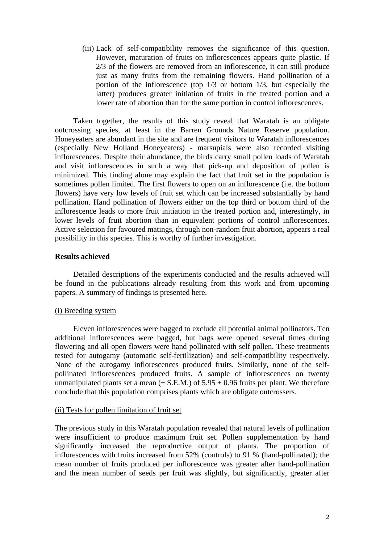(iii) Lack of self-compatibility removes the significance of this question. However, maturation of fruits on inflorescences appears quite plastic. If 2/3 of the flowers are removed from an inflorescence, it can still produce just as many fruits from the remaining flowers. Hand pollination of a portion of the inflorescence (top 1/3 or bottom 1/3, but especially the latter) produces greater initiation of fruits in the treated portion and a lower rate of abortion than for the same portion in control inflorescences.

Taken together, the results of this study reveal that Waratah is an obligate outcrossing species, at least in the Barren Grounds Nature Reserve population. Honeyeaters are abundant in the site and are frequent visitors to Waratah inflorescences (especially New Holland Honeyeaters) - marsupials were also recorded visiting inflorescences. Despite their abundance, the birds carry small pollen loads of Waratah and visit inflorescences in such a way that pick-up and deposition of pollen is minimized. This finding alone may explain the fact that fruit set in the population is sometimes pollen limited. The first flowers to open on an inflorescence (i.e. the bottom flowers) have very low levels of fruit set which can be increased substantially by hand pollination. Hand pollination of flowers either on the top third or bottom third of the inflorescence leads to more fruit initiation in the treated portion and, interestingly, in lower levels of fruit abortion than in equivalent portions of control inflorescences. Active selection for favoured matings, through non-random fruit abortion, appears a real possibility in this species. This is worthy of further investigation.

## **Results achieved**

Detailed descriptions of the experiments conducted and the results achieved will be found in the publications already resulting from this work and from upcoming papers. A summary of findings is presented here.

## (i) Breeding system

Eleven inflorescences were bagged to exclude all potential animal pollinators. Ten additional inflorescences were bagged, but bags were opened several times during flowering and all open flowers were hand pollinated with self pollen. These treatments tested for autogamy (automatic self-fertilization) and self-compatibility respectively. None of the autogamy inflorescences produced fruits. Similarly, none of the selfpollinated inflorescences produced fruits. A sample of inflorescences on twenty unmanipulated plants set a mean  $(\pm S.E.M.)$  of  $5.95 \pm 0.96$  fruits per plant. We therefore conclude that this population comprises plants which are obligate outcrossers.

### (ii) Tests for pollen limitation of fruit set

The previous study in this Waratah population revealed that natural levels of pollination were insufficient to produce maximum fruit set. Pollen supplementation by hand significantly increased the reproductive output of plants. The proportion of inflorescences with fruits increased from 52% (controls) to 91 % (hand-pollinated); the mean number of fruits produced per inflorescence was greater after hand-pollination and the mean number of seeds per fruit was slightly, but significantly, greater after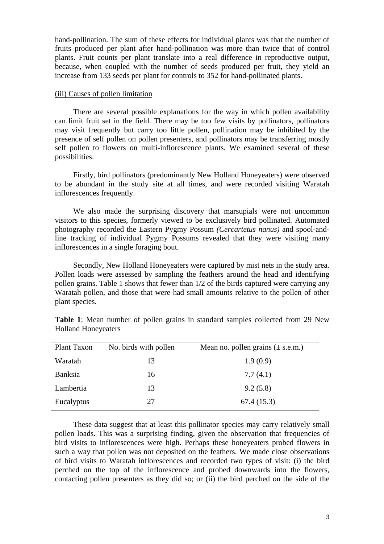hand-pollination. The sum of these effects for individual plants was that the number of fruits produced per plant after hand-pollination was more than twice that of control plants. Fruit counts per plant translate into a real difference in reproductive output, because, when coupled with the number of seeds produced per fruit, they yield an increase from 133 seeds per plant for controls to 352 for hand-pollinated plants.

#### (iii) Causes of pollen limitation

There are several possible explanations for the way in which pollen availability can limit fruit set in the field. There may be too few visits by pollinators, pollinators may visit frequently but carry too little pollen, pollination may be inhibited by the presence of self pollen on pollen presenters, and pollinators may be transferring mostly self pollen to flowers on multi-inflorescence plants. We examined several of these possibilities.

Firstly, bird pollinators (predominantly New Holland Honeyeaters) were observed to be abundant in the study site at all times, and were recorded visiting Waratah inflorescences frequently.

We also made the surprising discovery that marsupials were not uncommon visitors to this species, formerly viewed to be exclusively bird pollinated. Automated photography recorded the Eastern Pygmy Possum *(Cercartetus nanus)* and spool-andline tracking of individual Pygmy Possums revealed that they were visiting many inflorescences in a single foraging bout.

Secondly, New Holland Honeyeaters were captured by mist nets in the study area. Pollen loads were assessed by sampling the feathers around the head and identifying pollen grains. Table 1 shows that fewer than 1/2 of the birds captured were carrying any Waratah pollen, and those that were had small amounts relative to the pollen of other plant species.

| Plant Taxon    | No. birds with pollen | Mean no. pollen grains $(\pm$ s.e.m.) |
|----------------|-----------------------|---------------------------------------|
| Waratah        | 13                    | 1.9(0.9)                              |
| <b>Banksia</b> | 16                    | 7.7(4.1)                              |
| Lambertia      | 13                    | 9.2(5.8)                              |
| Eucalyptus     | 27                    | 67.4(15.3)                            |

**Table 1**: Mean number of pollen grains in standard samples collected from 29 New Holland Honeyeaters

These data suggest that at least this pollinator species may carry relatively small pollen loads. This was a surprising finding, given the observation that frequencies of bird visits to inflorescences were high. Perhaps these honeyeaters probed flowers in such a way that pollen was not deposited on the feathers. We made close observations of bird visits to Waratah inflorescences and recorded two types of visit: (i) the bird perched on the top of the inflorescence and probed downwards into the flowers, contacting pollen presenters as they did so; or (ii) the bird perched on the side of the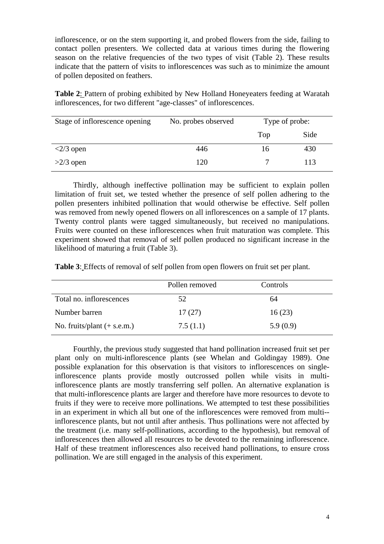inflorescence, or on the stem supporting it, and probed flowers from the side, failing to contact pollen presenters. We collected data at various times during the flowering season on the relative frequencies of the two types of visit (Table 2). These results indicate that the pattern of visits to inflorescences was such as to minimize the amount of pollen deposited on feathers.

**Table 2**: Pattern of probing exhibited by New Holland Honeyeaters feeding at Waratah inflorescences, for two different "age-classes" of inflorescences.

| Stage of inflorescence opening | No. probes observed | Type of probe: |      |
|--------------------------------|---------------------|----------------|------|
|                                |                     | Top            | Side |
| $\langle 2/3$ open             | 446                 | 16             | 430  |
| $>2/3$ open                    | 120                 |                | 113  |

Thirdly, although ineffective pollination may be sufficient to explain pollen limitation of fruit set, we tested whether the presence of self pollen adhering to the pollen presenters inhibited pollination that would otherwise be effective. Self pollen was removed from newly opened flowers on all inflorescences on a sample of 17 plants. Twenty control plants were tagged simultaneously, but received no manipulations. Fruits were counted on these inflorescences when fruit maturation was complete. This experiment showed that removal of self pollen produced no significant increase in the likelihood of maturing a fruit (Table 3).

**Table 3**: Effects of removal of self pollen from open flowers on fruit set per plant.

|                               | Pollen removed | Controls |  |
|-------------------------------|----------------|----------|--|
| Total no. inflorescences      | 52             | 64       |  |
| Number barren                 | 17(27)         | 16(23)   |  |
| No. fruits/plant $(+ s.e.m.)$ | 7.5(1.1)       | 5.9(0.9) |  |

Fourthly, the previous study suggested that hand pollination increased fruit set per plant only on multi-inflorescence plants (see Whelan and Goldingay 1989). One possible explanation for this observation is that visitors to inflorescences on singleinflorescence plants provide mostly outcrossed pollen while visits in multiinflorescence plants are mostly transferring self pollen. An alternative explanation is that multi-inflorescence plants are larger and therefore have more resources to devote to fruits if they were to receive more pollinations. We attempted to test these possibilities in an experiment in which all but one of the inflorescences were removed from multi- inflorescence plants, but not until after anthesis. Thus pollinations were not affected by the treatment (i.e. many self-pollinations, according to the hypothesis), but removal of inflorescences then allowed all resources to be devoted to the remaining inflorescence. Half of these treatment inflorescences also received hand pollinations, to ensure cross pollination. We are still engaged in the analysis of this experiment.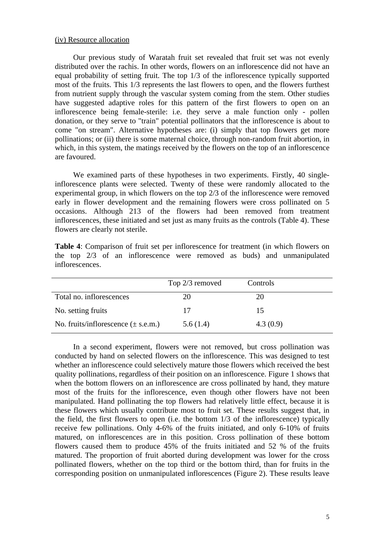### (iv) Resource allocation

Our previous study of Waratah fruit set revealed that fruit set was not evenly distributed over the rachis. In other words, flowers on an inflorescence did not have an equal probability of setting fruit. The top 1/3 of the inflorescence typically supported most of the fruits. This 1/3 represents the last flowers to open, and the flowers furthest from nutrient supply through the vascular system coming from the stem. Other studies have suggested adaptive roles for this pattern of the first flowers to open on an inflorescence being female-sterile: i.e. they serve a male function only - pollen donation, or they serve to "train" potential pollinators that the inflorescence is about to come "on stream". Alternative hypotheses are: (i) simply that top flowers get more pollinations; or (ii) there is some maternal choice, through non-random fruit abortion, in which, in this system, the matings received by the flowers on the top of an inflorescence are favoured.

We examined parts of these hypotheses in two experiments. Firstly, 40 singleinflorescence plants were selected. Twenty of these were randomly allocated to the experimental group, in which flowers on the top 2/3 of the inflorescence were removed early in flower development and the remaining flowers were cross pollinated on 5 occasions. Although 213 of the flowers had been removed from treatment inflorescences, these initiated and set just as many fruits as the controls (Table 4). These flowers are clearly not sterile.

**Table 4**: Comparison of fruit set per inflorescence for treatment (in which flowers on the top 2/3 of an inflorescence were removed as buds) and unmanipulated inflorescences.

|                                         | Top 2/3 removed | Controls |  |
|-----------------------------------------|-----------------|----------|--|
| Total no. inflorescences                | 20              | 20       |  |
| No. setting fruits                      | 17              | 15       |  |
| No. fruits/inflorescence $(\pm$ s.e.m.) | 5.6(1.4)        | 4.3(0.9) |  |

In a second experiment, flowers were not removed, but cross pollination was conducted by hand on selected flowers on the inflorescence. This was designed to test whether an inflorescence could selectively mature those flowers which received the best quality pollinations, regardless of their position on an inflorescence. Figure 1 shows that when the bottom flowers on an inflorescence are cross pollinated by hand, they mature most of the fruits for the inflorescence, even though other flowers have not been manipulated. Hand pollinating the top flowers had relatively little effect, because it is these flowers which usually contribute most to fruit set. These results suggest that, in the field, the first flowers to open (i.e. the bottom 1/3 of the inflorescence) typically receive few pollinations. Only 4-6% of the fruits initiated, and only 6-10% of fruits matured, on inflorescences are in this position. Cross pollination of these bottom flowers caused them to produce 45% of the fruits initiated and 52 % of the fruits matured. The proportion of fruit aborted during development was lower for the cross pollinated flowers, whether on the top third or the bottom third, than for fruits in the corresponding position on unmanipulated inflorescences (Figure 2). These results leave